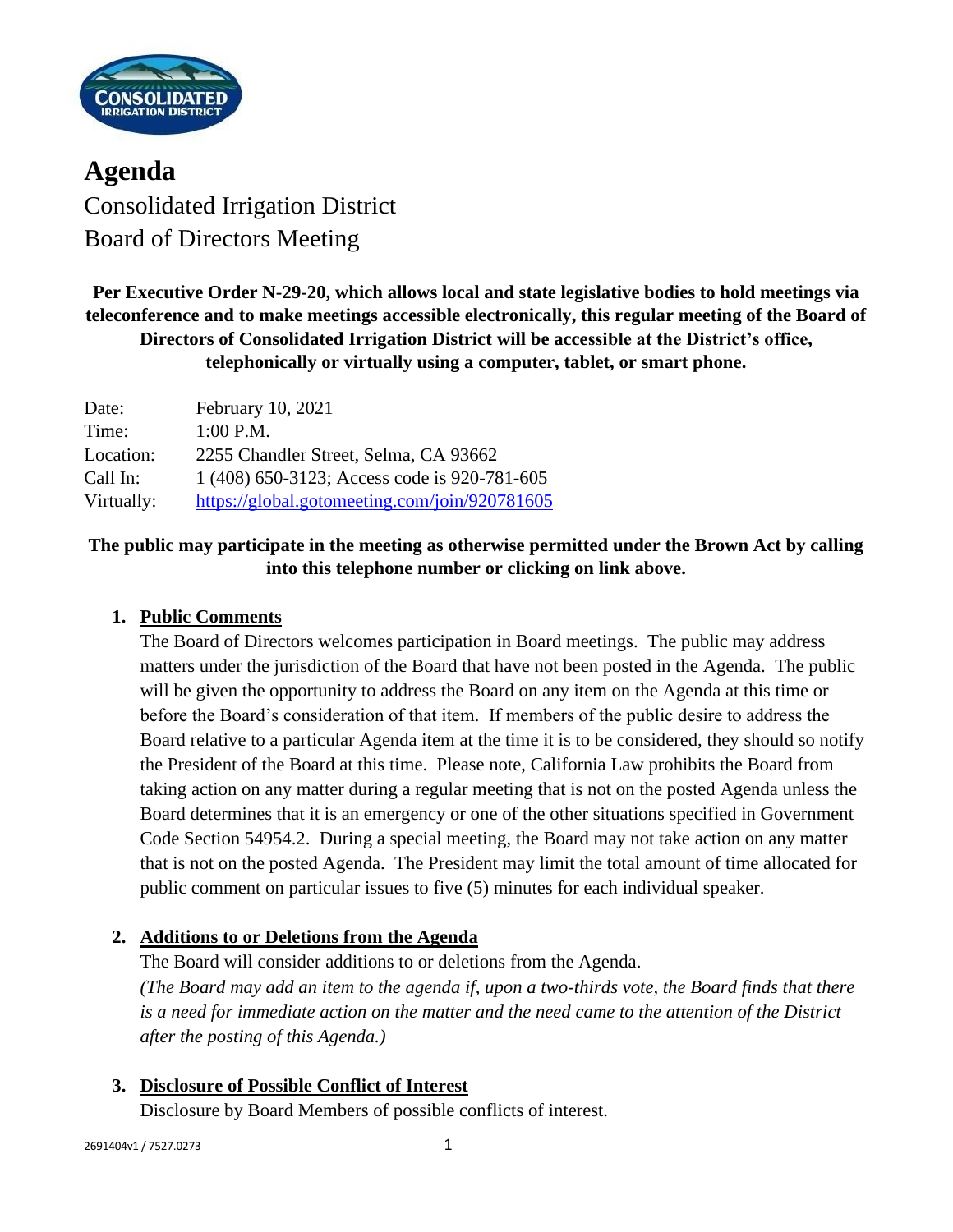

**Agenda** Consolidated Irrigation District Board of Directors Meeting

**Per Executive Order N-29-20, which allows local and state legislative bodies to hold meetings via teleconference and to make meetings accessible electronically, this regular meeting of the Board of Directors of Consolidated Irrigation District will be accessible at the District's office, telephonically or virtually using a computer, tablet, or smart phone.**

| Date:      | February 10, 2021                             |
|------------|-----------------------------------------------|
| Time:      | $1:00$ P.M.                                   |
| Location:  | 2255 Chandler Street, Selma, CA 93662         |
| Call In:   | 1 (408) 650-3123; Access code is 920-781-605  |
| Virtually: | https://global.gotomeeting.com/join/920781605 |

## **The public may participate in the meeting as otherwise permitted under the Brown Act by calling into this telephone number or clicking on link above.**

## **1. Public Comments**

The Board of Directors welcomes participation in Board meetings. The public may address matters under the jurisdiction of the Board that have not been posted in the Agenda. The public will be given the opportunity to address the Board on any item on the Agenda at this time or before the Board's consideration of that item. If members of the public desire to address the Board relative to a particular Agenda item at the time it is to be considered, they should so notify the President of the Board at this time. Please note, California Law prohibits the Board from taking action on any matter during a regular meeting that is not on the posted Agenda unless the Board determines that it is an emergency or one of the other situations specified in Government Code Section 54954.2. During a special meeting, the Board may not take action on any matter that is not on the posted Agenda. The President may limit the total amount of time allocated for public comment on particular issues to five (5) minutes for each individual speaker.

## **2. Additions to or Deletions from the Agenda**

The Board will consider additions to or deletions from the Agenda. *(The Board may add an item to the agenda if, upon a two-thirds vote, the Board finds that there is a need for immediate action on the matter and the need came to the attention of the District after the posting of this Agenda.)*

## **3. Disclosure of Possible Conflict of Interest**

Disclosure by Board Members of possible conflicts of interest.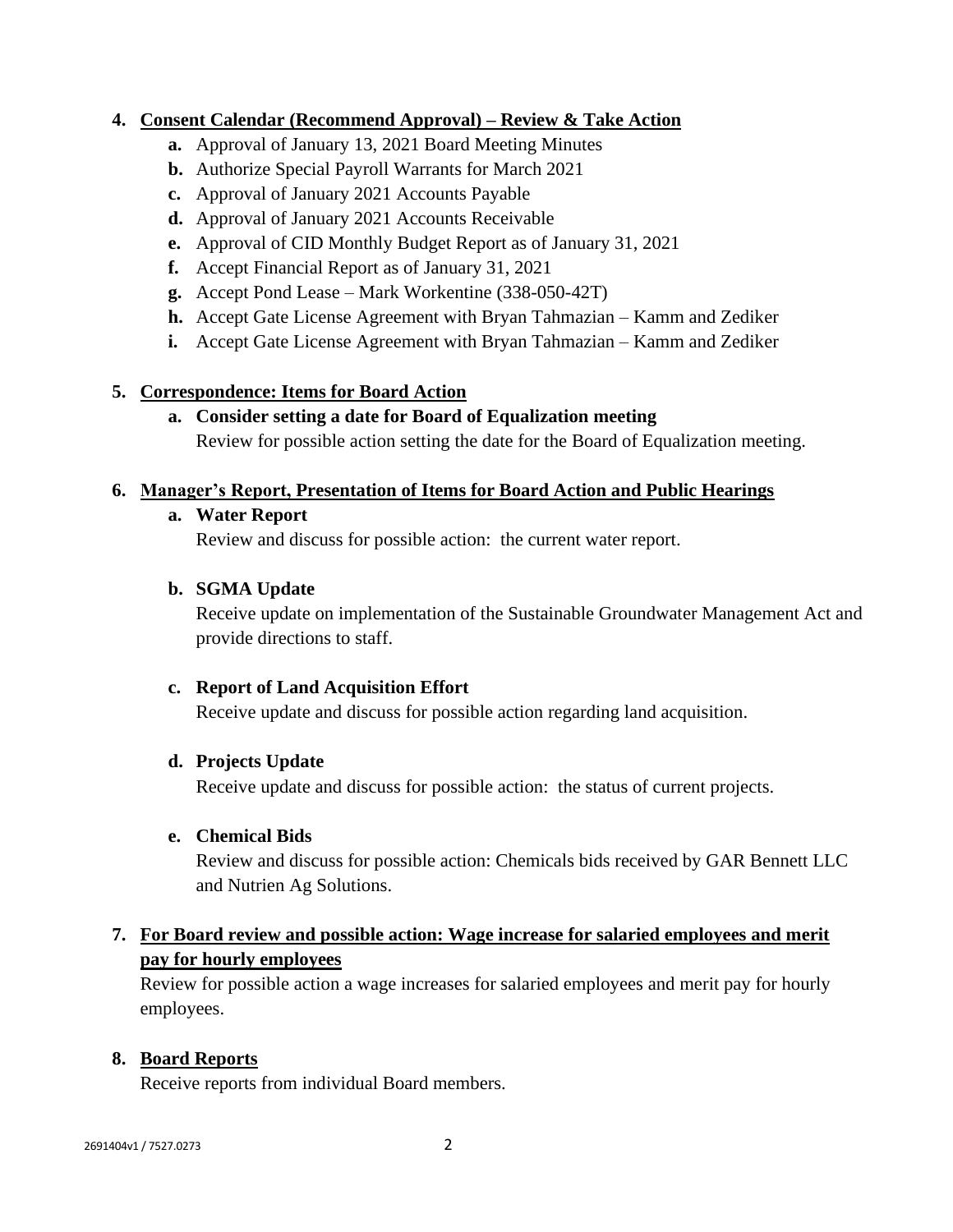### **4. Consent Calendar (Recommend Approval) – Review & Take Action**

- **a.** Approval of January 13, 2021 Board Meeting Minutes
- **b.** Authorize Special Payroll Warrants for March 2021
- **c.** Approval of January 2021 Accounts Payable
- **d.** Approval of January 2021 Accounts Receivable
- **e.** Approval of CID Monthly Budget Report as of January 31, 2021
- **f.** Accept Financial Report as of January 31, 2021
- **g.** Accept Pond Lease Mark Workentine (338-050-42T)
- **h.** Accept Gate License Agreement with Bryan Tahmazian Kamm and Zediker
- **i.** Accept Gate License Agreement with Bryan Tahmazian Kamm and Zediker

## **5. Correspondence: Items for Board Action**

**a. Consider setting a date for Board of Equalization meeting** Review for possible action setting the date for the Board of Equalization meeting.

## **6. Manager's Report, Presentation of Items for Board Action and Public Hearings**

## **a. Water Report**

Review and discuss for possible action: the current water report.

## **b. SGMA Update**

Receive update on implementation of the Sustainable Groundwater Management Act and provide directions to staff.

## **c. Report of Land Acquisition Effort**

Receive update and discuss for possible action regarding land acquisition.

## **d. Projects Update**

Receive update and discuss for possible action: the status of current projects.

#### **e. Chemical Bids**

Review and discuss for possible action: Chemicals bids received by GAR Bennett LLC and Nutrien Ag Solutions.

## **7. For Board review and possible action: Wage increase for salaried employees and merit pay for hourly employees**

Review for possible action a wage increases for salaried employees and merit pay for hourly employees.

## **8. Board Reports**

Receive reports from individual Board members.